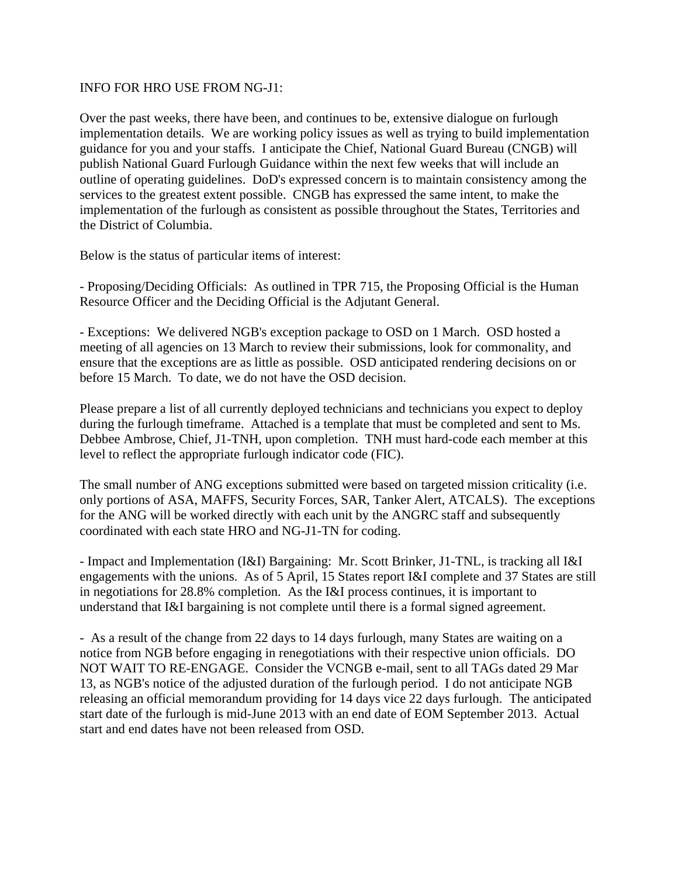## INFO FOR HRO USE FROM NG-J1:

Over the past weeks, there have been, and continues to be, extensive dialogue on furlough implementation details. We are working policy issues as well as trying to build implementation guidance for you and your staffs. I anticipate the Chief, National Guard Bureau (CNGB) will publish National Guard Furlough Guidance within the next few weeks that will include an outline of operating guidelines. DoD's expressed concern is to maintain consistency among the services to the greatest extent possible. CNGB has expressed the same intent, to make the implementation of the furlough as consistent as possible throughout the States, Territories and the District of Columbia.

Below is the status of particular items of interest:

- Proposing/Deciding Officials: As outlined in TPR 715, the Proposing Official is the Human Resource Officer and the Deciding Official is the Adjutant General.

- Exceptions: We delivered NGB's exception package to OSD on 1 March. OSD hosted a meeting of all agencies on 13 March to review their submissions, look for commonality, and ensure that the exceptions are as little as possible. OSD anticipated rendering decisions on or before 15 March. To date, we do not have the OSD decision.

Please prepare a list of all currently deployed technicians and technicians you expect to deploy during the furlough timeframe. Attached is a template that must be completed and sent to Ms. Debbee Ambrose, Chief, J1-TNH, upon completion. TNH must hard-code each member at this level to reflect the appropriate furlough indicator code (FIC).

The small number of ANG exceptions submitted were based on targeted mission criticality (i.e. only portions of ASA, MAFFS, Security Forces, SAR, Tanker Alert, ATCALS). The exceptions for the ANG will be worked directly with each unit by the ANGRC staff and subsequently coordinated with each state HRO and NG-J1-TN for coding.

- Impact and Implementation (I&I) Bargaining: Mr. Scott Brinker, J1-TNL, is tracking all I&I engagements with the unions. As of 5 April, 15 States report I&I complete and 37 States are still in negotiations for 28.8% completion. As the I&I process continues, it is important to understand that I&I bargaining is not complete until there is a formal signed agreement.

- As a result of the change from 22 days to 14 days furlough, many States are waiting on a notice from NGB before engaging in renegotiations with their respective union officials. DO NOT WAIT TO RE-ENGAGE. Consider the VCNGB e-mail, sent to all TAGs dated 29 Mar 13, as NGB's notice of the adjusted duration of the furlough period. I do not anticipate NGB releasing an official memorandum providing for 14 days vice 22 days furlough. The anticipated start date of the furlough is mid-June 2013 with an end date of EOM September 2013. Actual start and end dates have not been released from OSD.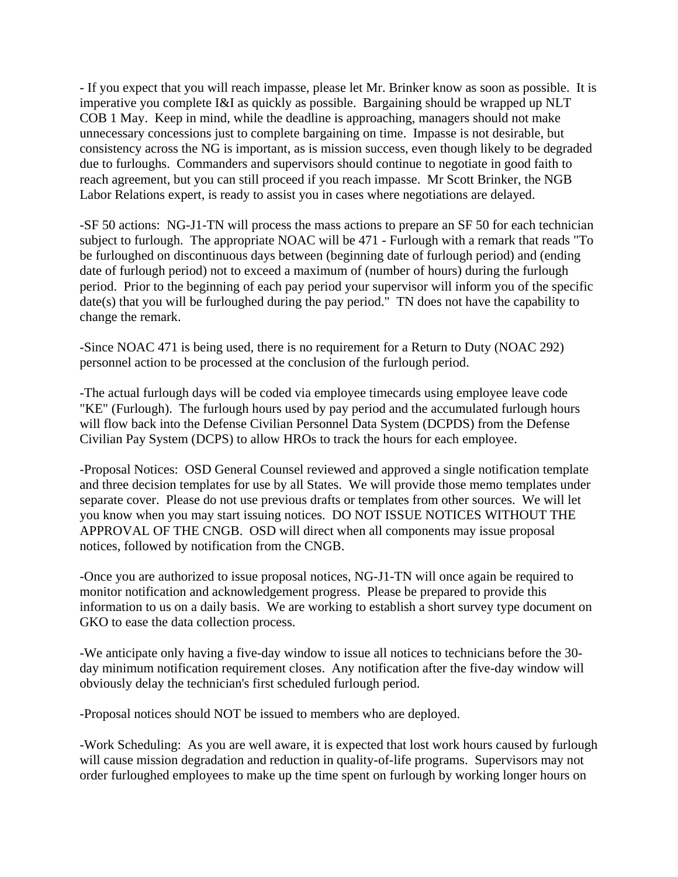- If you expect that you will reach impasse, please let Mr. Brinker know as soon as possible. It is imperative you complete I&I as quickly as possible. Bargaining should be wrapped up NLT COB 1 May. Keep in mind, while the deadline is approaching, managers should not make unnecessary concessions just to complete bargaining on time. Impasse is not desirable, but consistency across the NG is important, as is mission success, even though likely to be degraded due to furloughs. Commanders and supervisors should continue to negotiate in good faith to reach agreement, but you can still proceed if you reach impasse. Mr Scott Brinker, the NGB Labor Relations expert, is ready to assist you in cases where negotiations are delayed.

-SF 50 actions: NG-J1-TN will process the mass actions to prepare an SF 50 for each technician subject to furlough. The appropriate NOAC will be 471 - Furlough with a remark that reads "To be furloughed on discontinuous days between (beginning date of furlough period) and (ending date of furlough period) not to exceed a maximum of (number of hours) during the furlough period. Prior to the beginning of each pay period your supervisor will inform you of the specific date(s) that you will be furloughed during the pay period." TN does not have the capability to change the remark.

-Since NOAC 471 is being used, there is no requirement for a Return to Duty (NOAC 292) personnel action to be processed at the conclusion of the furlough period.

-The actual furlough days will be coded via employee timecards using employee leave code "KE" (Furlough). The furlough hours used by pay period and the accumulated furlough hours will flow back into the Defense Civilian Personnel Data System (DCPDS) from the Defense Civilian Pay System (DCPS) to allow HROs to track the hours for each employee.

-Proposal Notices: OSD General Counsel reviewed and approved a single notification template and three decision templates for use by all States. We will provide those memo templates under separate cover. Please do not use previous drafts or templates from other sources. We will let you know when you may start issuing notices. DO NOT ISSUE NOTICES WITHOUT THE APPROVAL OF THE CNGB. OSD will direct when all components may issue proposal notices, followed by notification from the CNGB.

-Once you are authorized to issue proposal notices, NG-J1-TN will once again be required to monitor notification and acknowledgement progress. Please be prepared to provide this information to us on a daily basis. We are working to establish a short survey type document on GKO to ease the data collection process.

-We anticipate only having a five-day window to issue all notices to technicians before the 30 day minimum notification requirement closes. Any notification after the five-day window will obviously delay the technician's first scheduled furlough period.

-Proposal notices should NOT be issued to members who are deployed.

-Work Scheduling: As you are well aware, it is expected that lost work hours caused by furlough will cause mission degradation and reduction in quality-of-life programs. Supervisors may not order furloughed employees to make up the time spent on furlough by working longer hours on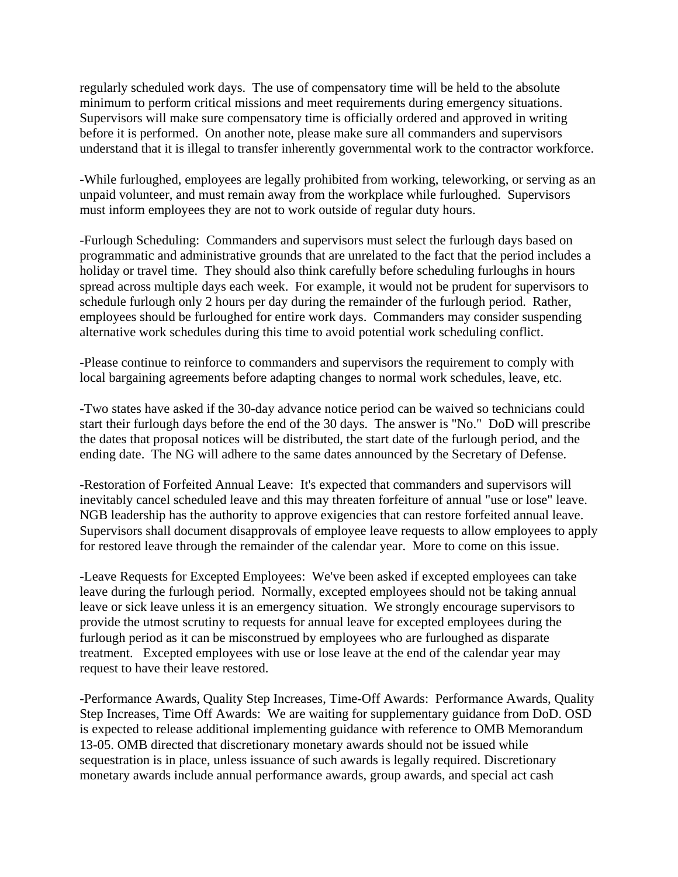regularly scheduled work days. The use of compensatory time will be held to the absolute minimum to perform critical missions and meet requirements during emergency situations. Supervisors will make sure compensatory time is officially ordered and approved in writing before it is performed. On another note, please make sure all commanders and supervisors understand that it is illegal to transfer inherently governmental work to the contractor workforce.

-While furloughed, employees are legally prohibited from working, teleworking, or serving as an unpaid volunteer, and must remain away from the workplace while furloughed. Supervisors must inform employees they are not to work outside of regular duty hours.

-Furlough Scheduling: Commanders and supervisors must select the furlough days based on programmatic and administrative grounds that are unrelated to the fact that the period includes a holiday or travel time. They should also think carefully before scheduling furloughs in hours spread across multiple days each week. For example, it would not be prudent for supervisors to schedule furlough only 2 hours per day during the remainder of the furlough period. Rather, employees should be furloughed for entire work days. Commanders may consider suspending alternative work schedules during this time to avoid potential work scheduling conflict.

-Please continue to reinforce to commanders and supervisors the requirement to comply with local bargaining agreements before adapting changes to normal work schedules, leave, etc.

-Two states have asked if the 30-day advance notice period can be waived so technicians could start their furlough days before the end of the 30 days. The answer is "No." DoD will prescribe the dates that proposal notices will be distributed, the start date of the furlough period, and the ending date. The NG will adhere to the same dates announced by the Secretary of Defense.

-Restoration of Forfeited Annual Leave: It's expected that commanders and supervisors will inevitably cancel scheduled leave and this may threaten forfeiture of annual "use or lose" leave. NGB leadership has the authority to approve exigencies that can restore forfeited annual leave. Supervisors shall document disapprovals of employee leave requests to allow employees to apply for restored leave through the remainder of the calendar year. More to come on this issue.

-Leave Requests for Excepted Employees: We've been asked if excepted employees can take leave during the furlough period. Normally, excepted employees should not be taking annual leave or sick leave unless it is an emergency situation. We strongly encourage supervisors to provide the utmost scrutiny to requests for annual leave for excepted employees during the furlough period as it can be misconstrued by employees who are furloughed as disparate treatment. Excepted employees with use or lose leave at the end of the calendar year may request to have their leave restored.

-Performance Awards, Quality Step Increases, Time-Off Awards: Performance Awards, Quality Step Increases, Time Off Awards: We are waiting for supplementary guidance from DoD. OSD is expected to release additional implementing guidance with reference to OMB Memorandum 13-05. OMB directed that discretionary monetary awards should not be issued while sequestration is in place, unless issuance of such awards is legally required. Discretionary monetary awards include annual performance awards, group awards, and special act cash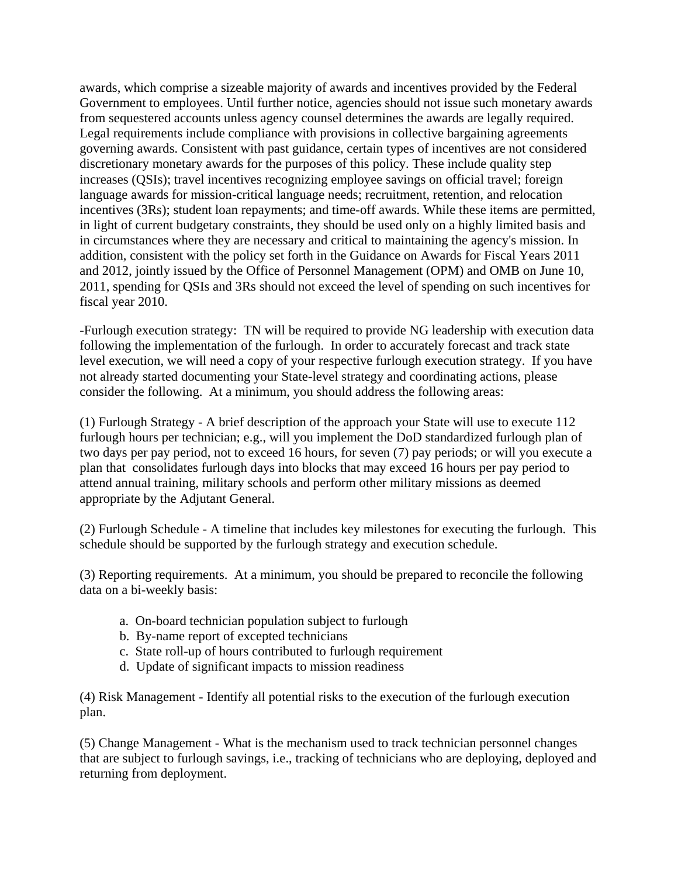awards, which comprise a sizeable majority of awards and incentives provided by the Federal Government to employees. Until further notice, agencies should not issue such monetary awards from sequestered accounts unless agency counsel determines the awards are legally required. Legal requirements include compliance with provisions in collective bargaining agreements governing awards. Consistent with past guidance, certain types of incentives are not considered discretionary monetary awards for the purposes of this policy. These include quality step increases (QSIs); travel incentives recognizing employee savings on official travel; foreign language awards for mission-critical language needs; recruitment, retention, and relocation incentives (3Rs); student loan repayments; and time-off awards. While these items are permitted, in light of current budgetary constraints, they should be used only on a highly limited basis and in circumstances where they are necessary and critical to maintaining the agency's mission. In addition, consistent with the policy set forth in the Guidance on Awards for Fiscal Years 2011 and 2012, jointly issued by the Office of Personnel Management (OPM) and OMB on June 10, 2011, spending for QSIs and 3Rs should not exceed the level of spending on such incentives for fiscal year 2010.

-Furlough execution strategy: TN will be required to provide NG leadership with execution data following the implementation of the furlough. In order to accurately forecast and track state level execution, we will need a copy of your respective furlough execution strategy. If you have not already started documenting your State-level strategy and coordinating actions, please consider the following. At a minimum, you should address the following areas:

(1) Furlough Strategy - A brief description of the approach your State will use to execute 112 furlough hours per technician; e.g., will you implement the DoD standardized furlough plan of two days per pay period, not to exceed 16 hours, for seven (7) pay periods; or will you execute a plan that consolidates furlough days into blocks that may exceed 16 hours per pay period to attend annual training, military schools and perform other military missions as deemed appropriate by the Adjutant General.

(2) Furlough Schedule - A timeline that includes key milestones for executing the furlough. This schedule should be supported by the furlough strategy and execution schedule.

(3) Reporting requirements. At a minimum, you should be prepared to reconcile the following data on a bi-weekly basis:

- a. On-board technician population subject to furlough
- b. By-name report of excepted technicians
- c. State roll-up of hours contributed to furlough requirement
- d. Update of significant impacts to mission readiness

(4) Risk Management - Identify all potential risks to the execution of the furlough execution plan.

(5) Change Management - What is the mechanism used to track technician personnel changes that are subject to furlough savings, i.e., tracking of technicians who are deploying, deployed and returning from deployment.